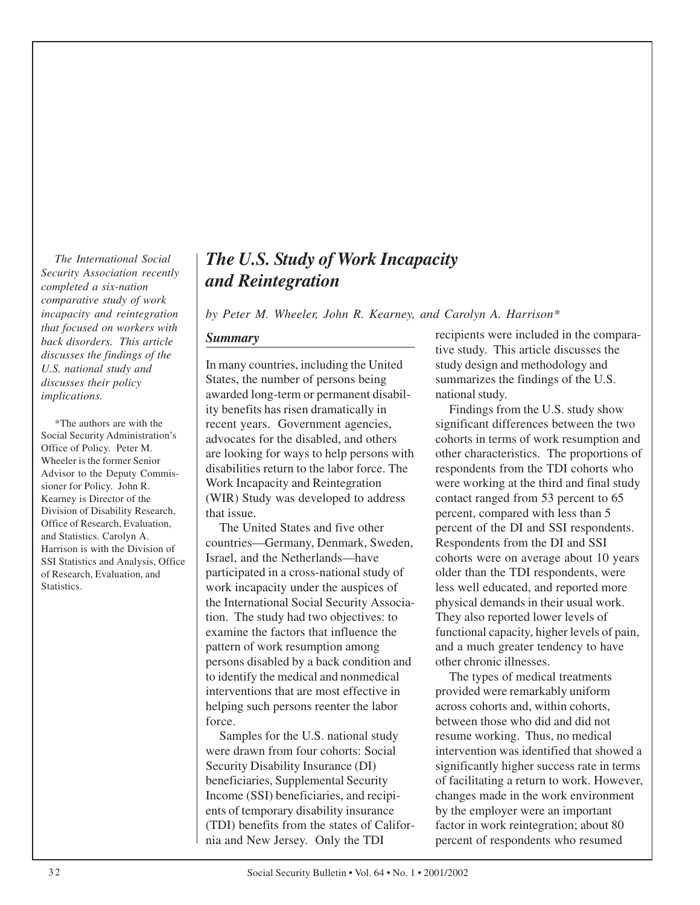*completed a six-nation and Reintegration comparative study of work that focused on workers with back disorders. This article discusses the findings of the* 

Wheeler is the former Senior Advisor to the Deputy Commis-

# *The International Social The U.S. Study of Work Incapacity Security Association recently*

*incapacity and reintegration by Peter M. Wheeler, John R. Kearney, and Carolyn A. Harrison\** 

*U.S. national study and* In many countries, including the United study design and methodology and *discusses their policy* States, the number of persons being summarizes the findings of the U.S. *discusses their policy* States, the number of persons being summarizes the implications. *implications.*  $|$  awarded long-term or permanent disability benefits has risen dramatically in Findings from the U.S. study show \*The authors are with the recent years. Government agencies, significant differences between the two Social Security Administration's advocates for the disabled and others cohorts in terms of work resumption and Social Security Administration's advocates for the disabled, and others cohorts in terms of work resumption and Office of Policy. Peter M. are looking for ways to help persons with disabilities return to the labor force. The sioner for Policy. John R. Work Incapacity and Reintegration were working at the third and final study<br>Kearney is Director of the (WIR) Study was developed to address contact ranged from 53 percent to 65 Kearney is Director of the (WIR) Study was developed to address Division of Disability Research,

Harrison is with the Division of countries—Germany, Denmark, Sweden, SIS Statistics and Analysis Office SSI Statistics and Analysis, Office Israel, and the Netherlands—have cohorts were on average about 10 years of Research. Evaluation, and participated in a cross-national study of older than the TDI respondents, were of Research, Evaluation, and participated in a cross-national study of Statistics. work incapacity under the auspices of less well educated, and reported more the International Social Security Associa-<br>physical demands in their usual work. tion. The study had two objectives: to They also reported lower levels of examine the factors that influence the functional capacity, higher levels of pain, pattern of work resumption among and a much greater tendency to have persons disabled by a back condition and other chronic illnesses. to identify the medical and nonmedical The types of medical treatments interventions that are most effective in provided were remarkably uniform helping such persons reenter the labor across cohorts and, within cohorts, force. between those who did and did not

> Samples for the U.S. national study resume working. Thus, no medical Security Disability Insurance (DI) significantly higher success rate in terms Income (SSI) beneficiaries, and recipi-<br>changes made in the work environment ents of temporary disability insurance by the employer were an important (TDI) benefits from the states of Califor-<br>factor in work reintegration; about 80 nia and New Jersey. Only the TDI percent of respondents who resumed

> **Summary recipients** were included in the comparative study. This article discusses the

other characteristics. The proportions of respondents from the TDI cohorts who Division of Disability Research, that issue.<br>
Office of Research, Evaluation, that issue that the Disability of the Disability of the Disability Research, Evaluation, Office of Research, Evaluation,<br>
and Statistics. Carolyn A.<br>
countries—Germany, Denmark, Sweden, Respondents from the DI and SSI

> were drawn from four cohorts: Social intervention was identified that showed a beneficiaries, Supplemental Security of facilitating a return to work. However,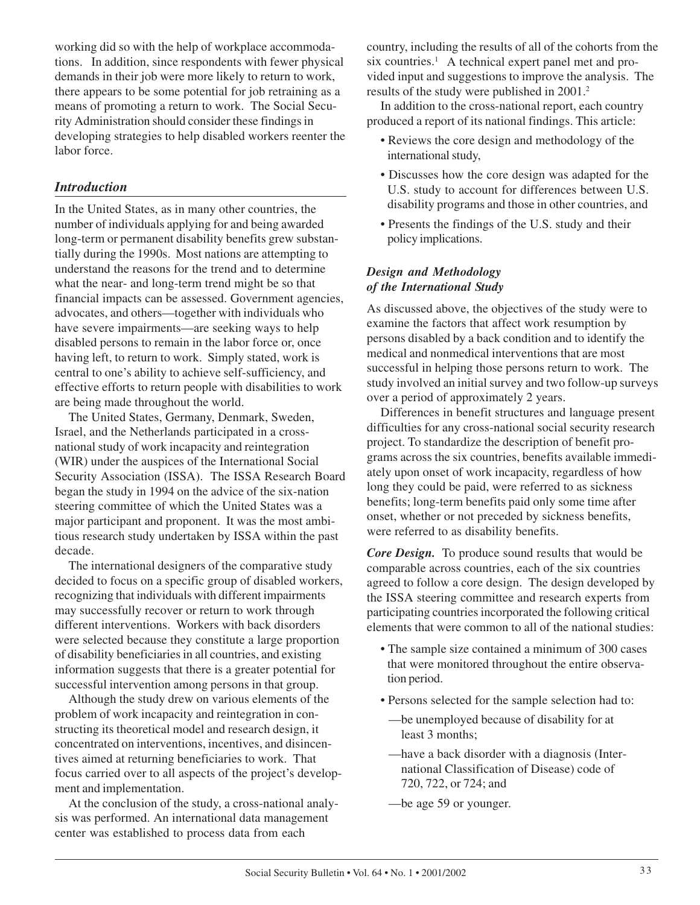working did so with the help of workplace accommodations. In addition, since respondents with fewer physical demands in their job were more likely to return to work, there appears to be some potential for job retraining as a means of promoting a return to work. The Social Security Administration should consider these findings in developing strategies to help disabled workers reenter the labor force.

# *Introduction*

In the United States, as in many other countries, the number of individuals applying for and being awarded long-term or permanent disability benefits grew substantially during the 1990s. Most nations are attempting to understand the reasons for the trend and to determine what the near- and long-term trend might be so that financial impacts can be assessed. Government agencies, advocates, and others—together with individuals who have severe impairments—are seeking ways to help disabled persons to remain in the labor force or, once having left, to return to work. Simply stated, work is central to one's ability to achieve self-sufficiency, and effective efforts to return people with disabilities to work are being made throughout the world.

The United States, Germany, Denmark, Sweden, Israel, and the Netherlands participated in a crossnational study of work incapacity and reintegration (WIR) under the auspices of the International Social Security Association (ISSA). The ISSA Research Board began the study in 1994 on the advice of the six-nation steering committee of which the United States was a major participant and proponent. It was the most ambitious research study undertaken by ISSA within the past decade.

The international designers of the comparative study decided to focus on a specific group of disabled workers, recognizing that individuals with different impairments may successfully recover or return to work through different interventions. Workers with back disorders were selected because they constitute a large proportion of disability beneficiaries in all countries, and existing information suggests that there is a greater potential for successful intervention among persons in that group.

Although the study drew on various elements of the problem of work incapacity and reintegration in constructing its theoretical model and research design, it concentrated on interventions, incentives, and disincentives aimed at returning beneficiaries to work. That focus carried over to all aspects of the project's development and implementation.

At the conclusion of the study, a cross-national analysis was performed. An international data management center was established to process data from each

country, including the results of all of the cohorts from the six countries.<sup>1</sup> A technical expert panel met and provided input and suggestions to improve the analysis. The results of the study were published in 2001.<sup>2</sup>

In addition to the cross-national report, each country produced a report of its national findings. This article:

- Reviews the core design and methodology of the international study,
- Discusses how the core design was adapted for the U.S. study to account for differences between U.S. disability programs and those in other countries, and
- Presents the findings of the U.S. study and their policy implications.

# *Design and Methodology of the International Study*

As discussed above, the objectives of the study were to examine the factors that affect work resumption by persons disabled by a back condition and to identify the medical and nonmedical interventions that are most successful in helping those persons return to work. The study involved an initial survey and two follow-up surveys over a period of approximately 2 years.

Differences in benefit structures and language present difficulties for any cross-national social security research project. To standardize the description of benefit programs across the six countries, benefits available immediately upon onset of work incapacity, regardless of how long they could be paid, were referred to as sickness benefits; long-term benefits paid only some time after onset, whether or not preceded by sickness benefits, were referred to as disability benefits.

*Core Design.* To produce sound results that would be comparable across countries, each of the six countries agreed to follow a core design. The design developed by the ISSA steering committee and research experts from participating countries incorporated the following critical elements that were common to all of the national studies:

- The sample size contained a minimum of 300 cases that were monitored throughout the entire observation period.
- Persons selected for the sample selection had to:
- —be unemployed because of disability for at least 3 months;
- —have a back disorder with a diagnosis (International Classification of Disease) code of 720, 722, or 724; and
- —be age 59 or younger.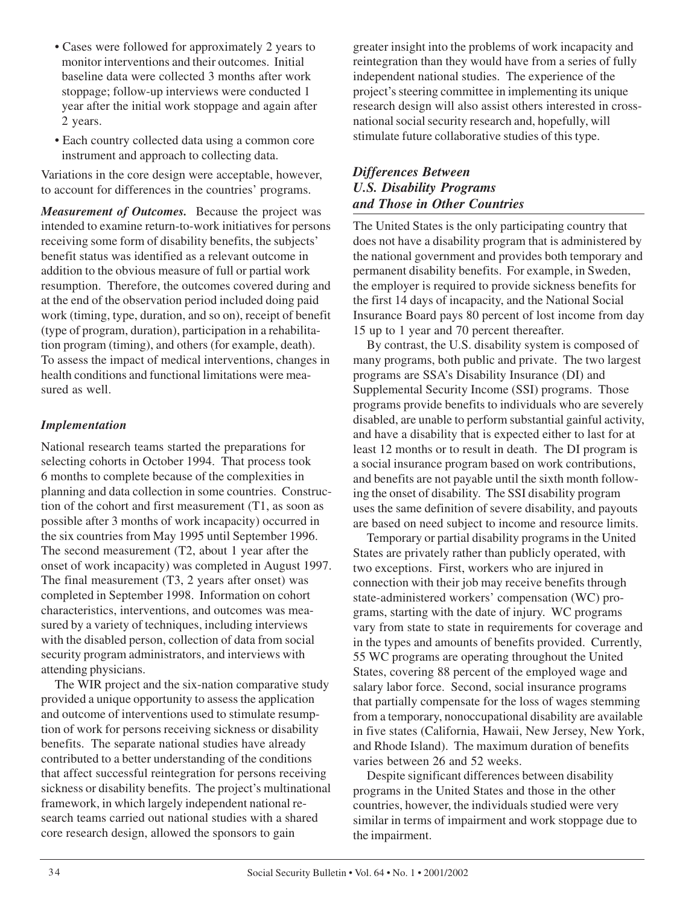- Cases were followed for approximately 2 years to monitor interventions and their outcomes. Initial baseline data were collected 3 months after work stoppage; follow-up interviews were conducted 1 year after the initial work stoppage and again after 2 years.
- Each country collected data using a common core instrument and approach to collecting data.

Variations in the core design were acceptable, however, to account for differences in the countries' programs.

*Measurement of Outcomes.* Because the project was intended to examine return-to-work initiatives for persons receiving some form of disability benefits, the subjects' benefit status was identified as a relevant outcome in addition to the obvious measure of full or partial work resumption. Therefore, the outcomes covered during and at the end of the observation period included doing paid work (timing, type, duration, and so on), receipt of benefit (type of program, duration), participation in a rehabilitation program (timing), and others (for example, death). To assess the impact of medical interventions, changes in health conditions and functional limitations were measured as well.

# *Implementation*

National research teams started the preparations for selecting cohorts in October 1994. That process took 6 months to complete because of the complexities in planning and data collection in some countries. Construction of the cohort and first measurement (T1, as soon as possible after 3 months of work incapacity) occurred in the six countries from May 1995 until September 1996. The second measurement (T2, about 1 year after the onset of work incapacity) was completed in August 1997. The final measurement (T3, 2 years after onset) was completed in September 1998. Information on cohort characteristics, interventions, and outcomes was measured by a variety of techniques, including interviews with the disabled person, collection of data from social security program administrators, and interviews with attending physicians.

The WIR project and the six-nation comparative study provided a unique opportunity to assess the application and outcome of interventions used to stimulate resumption of work for persons receiving sickness or disability benefits. The separate national studies have already contributed to a better understanding of the conditions that affect successful reintegration for persons receiving sickness or disability benefits. The project's multinational framework, in which largely independent national research teams carried out national studies with a shared core research design, allowed the sponsors to gain

greater insight into the problems of work incapacity and reintegration than they would have from a series of fully independent national studies. The experience of the project's steering committee in implementing its unique research design will also assist others interested in crossnational social security research and, hopefully, will stimulate future collaborative studies of this type.

# *Differences Between U.S. Disability Programs and Those in Other Countries*

The United States is the only participating country that does not have a disability program that is administered by the national government and provides both temporary and permanent disability benefits. For example, in Sweden, the employer is required to provide sickness benefits for the first 14 days of incapacity, and the National Social Insurance Board pays 80 percent of lost income from day 15 up to 1 year and 70 percent thereafter.

By contrast, the U.S. disability system is composed of many programs, both public and private. The two largest programs are SSA's Disability Insurance (DI) and Supplemental Security Income (SSI) programs. Those programs provide benefits to individuals who are severely disabled, are unable to perform substantial gainful activity, and have a disability that is expected either to last for at least 12 months or to result in death. The DI program is a social insurance program based on work contributions, and benefits are not payable until the sixth month following the onset of disability. The SSI disability program uses the same definition of severe disability, and payouts are based on need subject to income and resource limits.

Temporary or partial disability programs in the United States are privately rather than publicly operated, with two exceptions. First, workers who are injured in connection with their job may receive benefits through state-administered workers' compensation (WC) programs, starting with the date of injury. WC programs vary from state to state in requirements for coverage and in the types and amounts of benefits provided. Currently, 55 WC programs are operating throughout the United States, covering 88 percent of the employed wage and salary labor force. Second, social insurance programs that partially compensate for the loss of wages stemming from a temporary, nonoccupational disability are available in five states (California, Hawaii, New Jersey, New York, and Rhode Island). The maximum duration of benefits varies between 26 and 52 weeks.

Despite significant differences between disability programs in the United States and those in the other countries, however, the individuals studied were very similar in terms of impairment and work stoppage due to the impairment.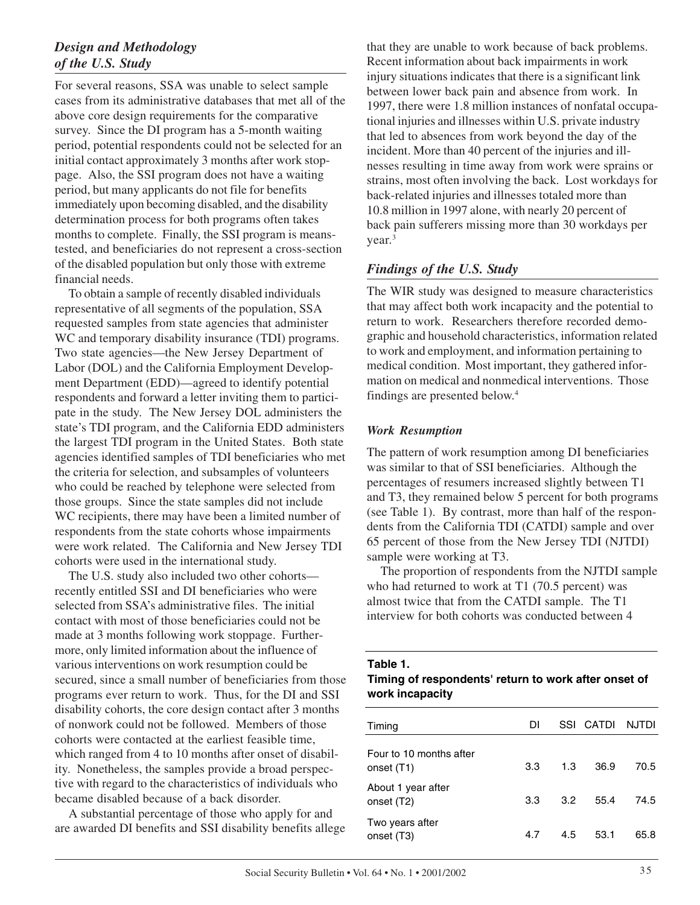# *Design and Methodology of the U.S. Study*

For several reasons, SSA was unable to select sample cases from its administrative databases that met all of the above core design requirements for the comparative survey. Since the DI program has a 5-month waiting period, potential respondents could not be selected for an initial contact approximately 3 months after work stoppage. Also, the SSI program does not have a waiting period, but many applicants do not file for benefits immediately upon becoming disabled, and the disability determination process for both programs often takes months to complete. Finally, the SSI program is meanstested, and beneficiaries do not represent a cross-section of the disabled population but only those with extreme financial needs.

To obtain a sample of recently disabled individuals representative of all segments of the population, SSA requested samples from state agencies that administer WC and temporary disability insurance (TDI) programs. Two state agencies—the New Jersey Department of Labor (DOL) and the California Employment Development Department (EDD)—agreed to identify potential respondents and forward a letter inviting them to participate in the study. The New Jersey DOL administers the state's TDI program, and the California EDD administers the largest TDI program in the United States. Both state agencies identified samples of TDI beneficiaries who met the criteria for selection, and subsamples of volunteers who could be reached by telephone were selected from those groups. Since the state samples did not include WC recipients, there may have been a limited number of respondents from the state cohorts whose impairments were work related. The California and New Jersey TDI cohorts were used in the international study.

The U.S. study also included two other cohorts recently entitled SSI and DI beneficiaries who were selected from SSA's administrative files. The initial contact with most of those beneficiaries could not be made at 3 months following work stoppage. Furthermore, only limited information about the influence of various interventions on work resumption could be secured, since a small number of beneficiaries from those programs ever return to work. Thus, for the DI and SSI disability cohorts, the core design contact after 3 months of nonwork could not be followed. Members of those cohorts were contacted at the earliest feasible time, which ranged from 4 to 10 months after onset of disability. Nonetheless, the samples provide a broad perspective with regard to the characteristics of individuals who became disabled because of a back disorder.

A substantial percentage of those who apply for and are awarded DI benefits and SSI disability benefits allege that they are unable to work because of back problems. Recent information about back impairments in work injury situations indicates that there is a significant link between lower back pain and absence from work. In 1997, there were 1.8 million instances of nonfatal occupational injuries and illnesses within U.S. private industry that led to absences from work beyond the day of the incident. More than 40 percent of the injuries and illnesses resulting in time away from work were sprains or strains, most often involving the back. Lost workdays for back-related injuries and illnesses totaled more than 10.8 million in 1997 alone, with nearly 20 percent of back pain sufferers missing more than 30 workdays per year.<sup>3</sup>

# *Findings of the U.S. Study*

The WIR study was designed to measure characteristics that may affect both work incapacity and the potential to return to work. Researchers therefore recorded demographic and household characteristics, information related to work and employment, and information pertaining to medical condition. Most important, they gathered information on medical and nonmedical interventions. Those findings are presented below.4

# *Work Resumption*

The pattern of work resumption among DI beneficiaries was similar to that of SSI beneficiaries. Although the percentages of resumers increased slightly between T1 and T3, they remained below 5 percent for both programs (see Table 1). By contrast, more than half of the respondents from the California TDI (CATDI) sample and over 65 percent of those from the New Jersey TDI (NJTDI) sample were working at T3.

The proportion of respondents from the NJTDI sample who had returned to work at T1 (70.5 percent) was almost twice that from the CATDI sample. The T1 interview for both cohorts was conducted between 4

# **Table 1.**

# **Timing of respondents' return to work after onset of work incapacity**

| Timing                                | DΙ  |     | SSI CATDI | NJTDI |
|---------------------------------------|-----|-----|-----------|-------|
| Four to 10 months after<br>onset (T1) | 3.3 | 1.3 | 36.9      | 70.5  |
| About 1 year after<br>onset (T2)      | 3.3 | 3.2 | 55.4      | 74.5  |
| Two years after<br>onset (T3)         | 4.7 | 4.5 | 53.1      | 65.8  |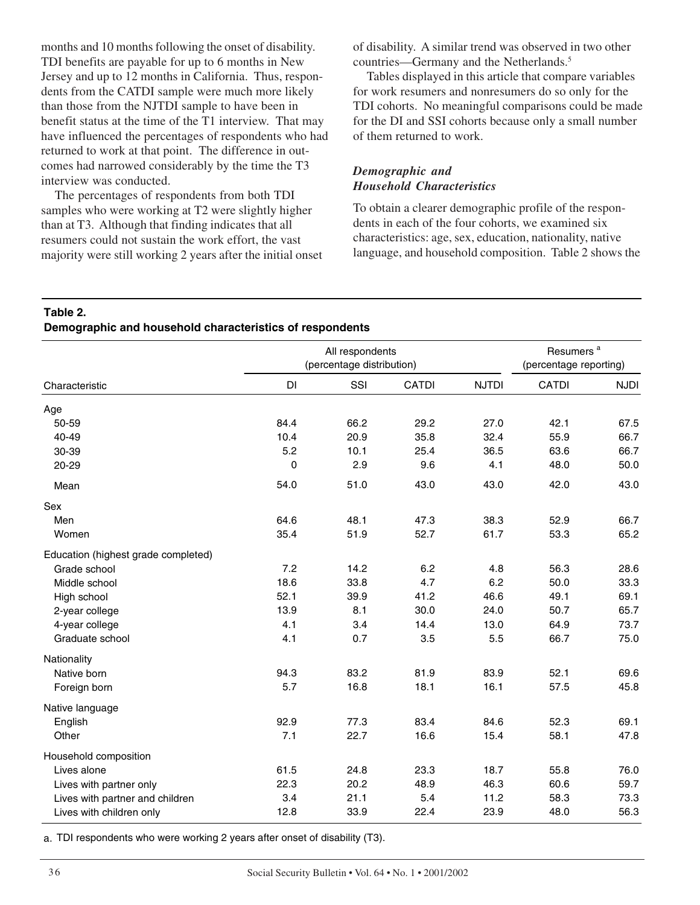months and 10 months following the onset of disability. TDI benefits are payable for up to 6 months in New Jersey and up to 12 months in California. Thus, respondents from the CATDI sample were much more likely than those from the NJTDI sample to have been in benefit status at the time of the T1 interview. That may have influenced the percentages of respondents who had returned to work at that point. The difference in outcomes had narrowed considerably by the time the T3 interview was conducted.

The percentages of respondents from both TDI samples who were working at T2 were slightly higher than at T3. Although that finding indicates that all resumers could not sustain the work effort, the vast majority were still working 2 years after the initial onset of disability. A similar trend was observed in two other countries—Germany and the Netherlands.<sup>5</sup>

Tables displayed in this article that compare variables for work resumers and nonresumers do so only for the TDI cohorts. No meaningful comparisons could be made for the DI and SSI cohorts because only a small number of them returned to work.

# *Demographic and Household Characteristics*

To obtain a clearer demographic profile of the respondents in each of the four cohorts, we examined six characteristics: age, sex, education, nationality, native language, and household composition. Table 2 shows the

# **Table 2.**

#### **Demographic and household characteristics of respondents**

|                                     | All respondents<br>(percentage distribution) |      |              |              | Resumers <sup>a</sup><br>(percentage reporting) |             |
|-------------------------------------|----------------------------------------------|------|--------------|--------------|-------------------------------------------------|-------------|
| Characteristic                      | DI                                           | SSI  | <b>CATDI</b> | <b>NJTDI</b> | <b>CATDI</b>                                    | <b>NJDI</b> |
| Age                                 |                                              |      |              |              |                                                 |             |
| 50-59                               | 84.4                                         | 66.2 | 29.2         | 27.0         | 42.1                                            | 67.5        |
| 40-49                               | 10.4                                         | 20.9 | 35.8         | 32.4         | 55.9                                            | 66.7        |
| 30-39                               | 5.2                                          | 10.1 | 25.4         | 36.5         | 63.6                                            | 66.7        |
| 20-29                               | $\mathbf 0$                                  | 2.9  | 9.6          | 4.1          | 48.0                                            | 50.0        |
| Mean                                | 54.0                                         | 51.0 | 43.0         | 43.0         | 42.0                                            | 43.0        |
| Sex                                 |                                              |      |              |              |                                                 |             |
| Men                                 | 64.6                                         | 48.1 | 47.3         | 38.3         | 52.9                                            | 66.7        |
| Women                               | 35.4                                         | 51.9 | 52.7         | 61.7         | 53.3                                            | 65.2        |
| Education (highest grade completed) |                                              |      |              |              |                                                 |             |
| Grade school                        | 7.2                                          | 14.2 | 6.2          | 4.8          | 56.3                                            | 28.6        |
| Middle school                       | 18.6                                         | 33.8 | 4.7          | 6.2          | 50.0                                            | 33.3        |
| High school                         | 52.1                                         | 39.9 | 41.2         | 46.6         | 49.1                                            | 69.1        |
| 2-year college                      | 13.9                                         | 8.1  | 30.0         | 24.0         | 50.7                                            | 65.7        |
| 4-year college                      | 4.1                                          | 3.4  | 14.4         | 13.0         | 64.9                                            | 73.7        |
| Graduate school                     | 4.1                                          | 0.7  | 3.5          | 5.5          | 66.7                                            | 75.0        |
| Nationality                         |                                              |      |              |              |                                                 |             |
| Native born                         | 94.3                                         | 83.2 | 81.9         | 83.9         | 52.1                                            | 69.6        |
| Foreign born                        | 5.7                                          | 16.8 | 18.1         | 16.1         | 57.5                                            | 45.8        |
| Native language                     |                                              |      |              |              |                                                 |             |
| English                             | 92.9                                         | 77.3 | 83.4         | 84.6         | 52.3                                            | 69.1        |
| Other                               | 7.1                                          | 22.7 | 16.6         | 15.4         | 58.1                                            | 47.8        |
| Household composition               |                                              |      |              |              |                                                 |             |
| Lives alone                         | 61.5                                         | 24.8 | 23.3         | 18.7         | 55.8                                            | 76.0        |
| Lives with partner only             | 22.3                                         | 20.2 | 48.9         | 46.3         | 60.6                                            | 59.7        |
| Lives with partner and children     | 3.4                                          | 21.1 | 5.4          | 11.2         | 58.3                                            | 73.3        |
| Lives with children only            | 12.8                                         | 33.9 | 22.4         | 23.9         | 48.0                                            | 56.3        |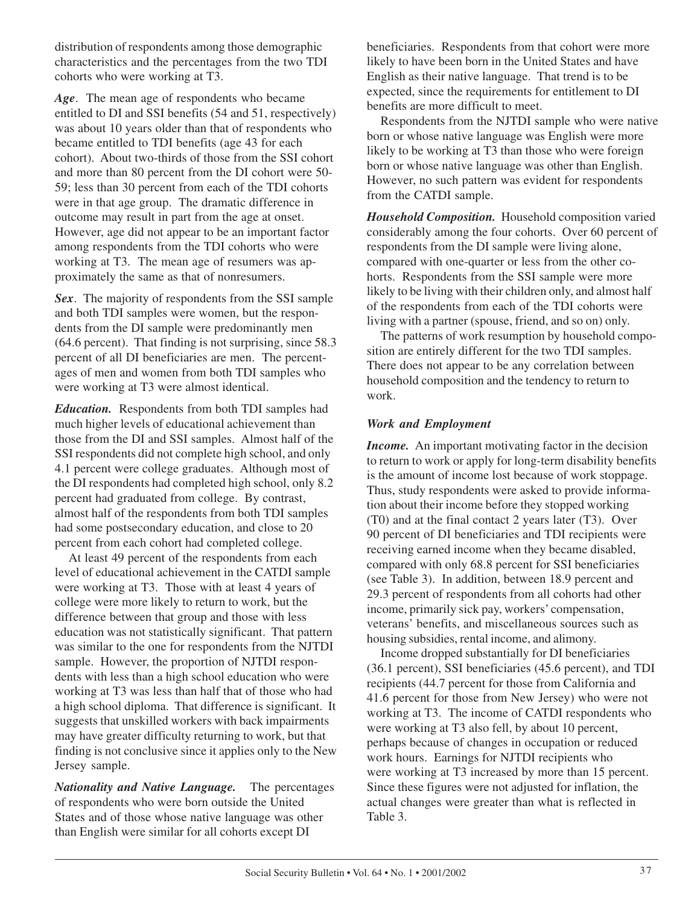distribution of respondents among those demographic characteristics and the percentages from the two TDI cohorts who were working at T3.

*Age*. The mean age of respondents who became entitled to DI and SSI benefits (54 and 51, respectively) was about 10 years older than that of respondents who became entitled to TDI benefits (age 43 for each cohort). About two-thirds of those from the SSI cohort and more than 80 percent from the DI cohort were 50 59; less than 30 percent from each of the TDI cohorts were in that age group. The dramatic difference in outcome may result in part from the age at onset. However, age did not appear to be an important factor among respondents from the TDI cohorts who were working at T3. The mean age of resumers was approximately the same as that of nonresumers.

*Sex*. The majority of respondents from the SSI sample and both TDI samples were women, but the respondents from the DI sample were predominantly men (64.6 percent). That finding is not surprising, since 58.3 percent of all DI beneficiaries are men. The percentages of men and women from both TDI samples who were working at T3 were almost identical.

*Education.* Respondents from both TDI samples had much higher levels of educational achievement than those from the DI and SSI samples. Almost half of the SSI respondents did not complete high school, and only 4.1 percent were college graduates. Although most of the DI respondents had completed high school, only 8.2 percent had graduated from college. By contrast, almost half of the respondents from both TDI samples had some postsecondary education, and close to 20 percent from each cohort had completed college.

At least 49 percent of the respondents from each level of educational achievement in the CATDI sample were working at T3. Those with at least 4 years of college were more likely to return to work, but the difference between that group and those with less education was not statistically significant. That pattern was similar to the one for respondents from the NJTDI sample. However, the proportion of NJTDI respondents with less than a high school education who were working at T3 was less than half that of those who had a high school diploma. That difference is significant. It suggests that unskilled workers with back impairments may have greater difficulty returning to work, but that finding is not conclusive since it applies only to the New Jersey sample.

*Nationality and Native Language.* The percentages of respondents who were born outside the United States and of those whose native language was other than English were similar for all cohorts except DI

beneficiaries. Respondents from that cohort were more likely to have been born in the United States and have English as their native language. That trend is to be expected, since the requirements for entitlement to DI benefits are more difficult to meet.

Respondents from the NJTDI sample who were native born or whose native language was English were more likely to be working at T3 than those who were foreign born or whose native language was other than English. However, no such pattern was evident for respondents from the CATDI sample.

*Household Composition.* Household composition varied considerably among the four cohorts. Over 60 percent of respondents from the DI sample were living alone, compared with one-quarter or less from the other cohorts. Respondents from the SSI sample were more likely to be living with their children only, and almost half of the respondents from each of the TDI cohorts were living with a partner (spouse, friend, and so on) only.

The patterns of work resumption by household composition are entirely different for the two TDI samples. There does not appear to be any correlation between household composition and the tendency to return to work.

# *Work and Employment*

*Income.* An important motivating factor in the decision to return to work or apply for long-term disability benefits is the amount of income lost because of work stoppage. Thus, study respondents were asked to provide information about their income before they stopped working (T0) and at the final contact 2 years later (T3). Over 90 percent of DI beneficiaries and TDI recipients were receiving earned income when they became disabled, compared with only 68.8 percent for SSI beneficiaries (see Table 3). In addition, between 18.9 percent and 29.3 percent of respondents from all cohorts had other income, primarily sick pay, workers' compensation, veterans' benefits, and miscellaneous sources such as housing subsidies, rental income, and alimony.

Income dropped substantially for DI beneficiaries (36.1 percent), SSI beneficiaries (45.6 percent), and TDI recipients (44.7 percent for those from California and 41.6 percent for those from New Jersey) who were not working at T3. The income of CATDI respondents who were working at T3 also fell, by about 10 percent, perhaps because of changes in occupation or reduced work hours. Earnings for NJTDI recipients who were working at T3 increased by more than 15 percent. Since these figures were not adjusted for inflation, the actual changes were greater than what is reflected in Table 3.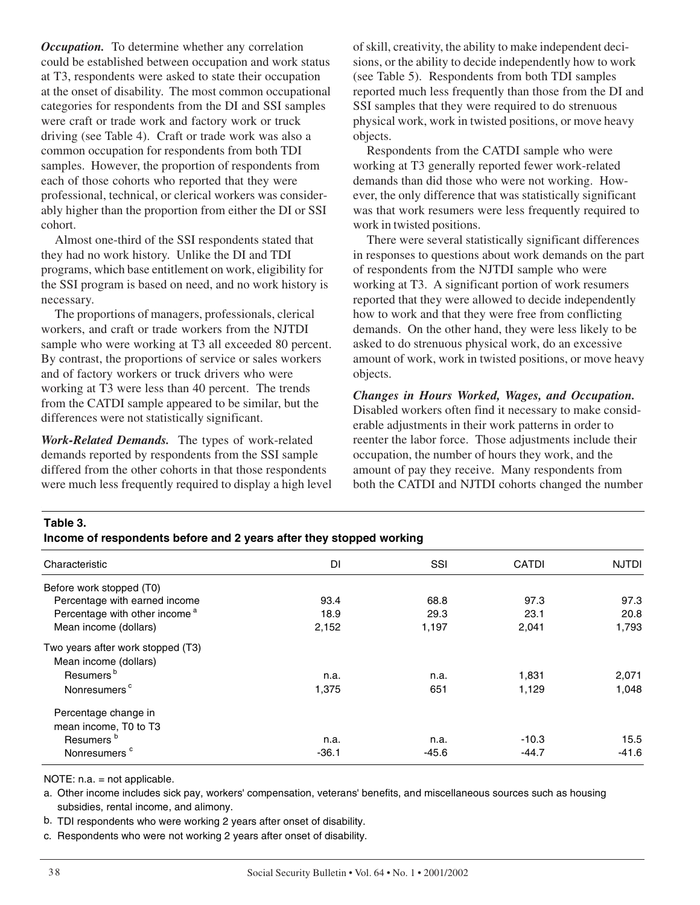*Occupation.* To determine whether any correlation could be established between occupation and work status at T3, respondents were asked to state their occupation at the onset of disability. The most common occupational categories for respondents from the DI and SSI samples were craft or trade work and factory work or truck driving (see Table 4). Craft or trade work was also a common occupation for respondents from both TDI samples. However, the proportion of respondents from each of those cohorts who reported that they were professional, technical, or clerical workers was considerably higher than the proportion from either the DI or SSI cohort.

Almost one-third of the SSI respondents stated that they had no work history. Unlike the DI and TDI programs, which base entitlement on work, eligibility for the SSI program is based on need, and no work history is necessary.

The proportions of managers, professionals, clerical workers, and craft or trade workers from the NJTDI sample who were working at T3 all exceeded 80 percent. By contrast, the proportions of service or sales workers and of factory workers or truck drivers who were working at T3 were less than 40 percent. The trends from the CATDI sample appeared to be similar, but the differences were not statistically significant.

*Work-Related Demands.* The types of work-related demands reported by respondents from the SSI sample differed from the other cohorts in that those respondents were much less frequently required to display a high level of skill, creativity, the ability to make independent decisions, or the ability to decide independently how to work (see Table 5). Respondents from both TDI samples reported much less frequently than those from the DI and SSI samples that they were required to do strenuous physical work, work in twisted positions, or move heavy objects.

Respondents from the CATDI sample who were working at T3 generally reported fewer work-related demands than did those who were not working. However, the only difference that was statistically significant was that work resumers were less frequently required to work in twisted positions.

There were several statistically significant differences in responses to questions about work demands on the part of respondents from the NJTDI sample who were working at T3. A significant portion of work resumers reported that they were allowed to decide independently how to work and that they were free from conflicting demands. On the other hand, they were less likely to be asked to do strenuous physical work, do an excessive amount of work, work in twisted positions, or move heavy objects.

*Changes in Hours Worked, Wages, and Occupation.*  Disabled workers often find it necessary to make considerable adjustments in their work patterns in order to reenter the labor force. Those adjustments include their occupation, the number of hours they work, and the amount of pay they receive. Many respondents from both the CATDI and NJTDI cohorts changed the number

# **Table 3.**

#### **Income of respondents before and 2 years after they stopped working**

| Characteristic                            | DI      | SSI     | <b>CATDI</b> | <b>NJTDI</b> |
|-------------------------------------------|---------|---------|--------------|--------------|
| Before work stopped (T0)                  |         |         |              |              |
| Percentage with earned income             | 93.4    | 68.8    | 97.3         | 97.3         |
| Percentage with other income <sup>a</sup> | 18.9    | 29.3    | 23.1         | 20.8         |
| Mean income (dollars)                     | 2,152   | 1,197   | 2,041        | 1,793        |
| Two years after work stopped (T3)         |         |         |              |              |
| Mean income (dollars)                     |         |         |              |              |
| Resumers <sup>b</sup>                     | n.a.    | n.a.    | 1,831        | 2,071        |
| Nonresumers <sup>c</sup>                  | 1,375   | 651     | 1,129        | 1.048        |
| Percentage change in                      |         |         |              |              |
| mean income, T0 to T3                     |         |         |              |              |
| Resumers <sup>b</sup>                     | n.a.    | n.a.    | $-10.3$      | 15.5         |
| Nonresumers <sup>c</sup>                  | $-36.1$ | $-45.6$ | $-44.7$      | $-41.6$      |

NOTE: n.a. = not applicable.

a. Other income includes sick pay, workers' compensation, veterans' benefits, and miscellaneous sources such as housing subsidies, rental income, and alimony.

b. TDI respondents who were working 2 years after onset of disability.

c. Respondents who were not working 2 years after onset of disability.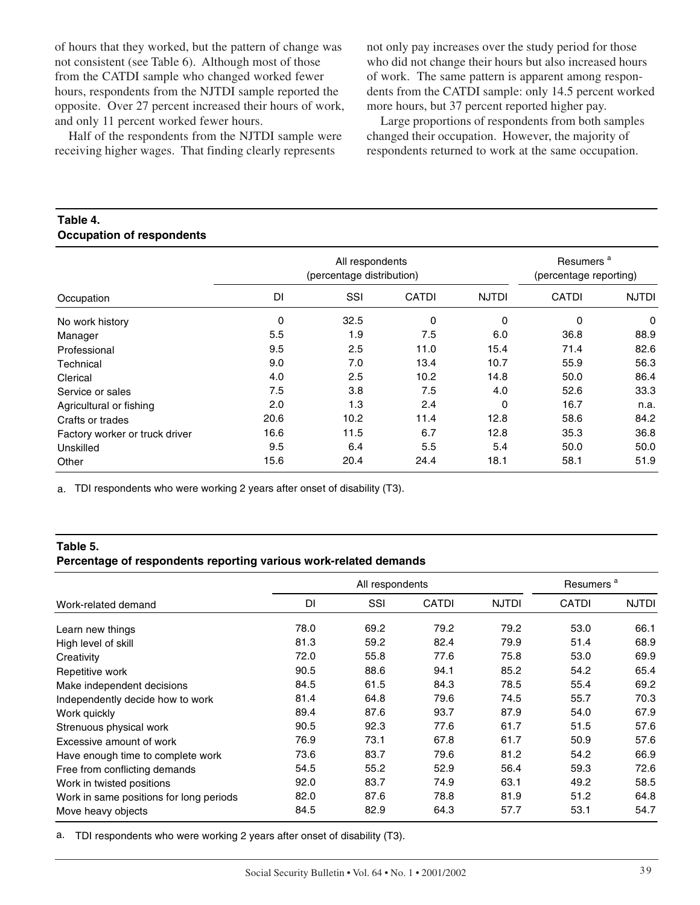of hours that they worked, but the pattern of change was not consistent (see Table 6). Although most of those from the CATDI sample who changed worked fewer hours, respondents from the NJTDI sample reported the opposite. Over 27 percent increased their hours of work, and only 11 percent worked fewer hours.

Half of the respondents from the NJTDI sample were receiving higher wages. That finding clearly represents

not only pay increases over the study period for those who did not change their hours but also increased hours of work. The same pattern is apparent among respondents from the CATDI sample: only 14.5 percent worked more hours, but 37 percent reported higher pay.

Large proportions of respondents from both samples changed their occupation. However, the majority of respondents returned to work at the same occupation.

#### **Table 4. Occupation of respondents**

|                                | All respondents<br>(percentage distribution) |      |              |              | Resumers <sup>a</sup><br>(percentage reporting) |              |
|--------------------------------|----------------------------------------------|------|--------------|--------------|-------------------------------------------------|--------------|
| Occupation                     | <b>DI</b>                                    | SSI  | <b>CATDI</b> | <b>NJTDI</b> | <b>CATDI</b>                                    | <b>NJTDI</b> |
| No work history                | 0                                            | 32.5 | 0            | 0            | 0                                               | 0            |
| Manager                        | 5.5                                          | 1.9  | 7.5          | 6.0          | 36.8                                            | 88.9         |
| Professional                   | 9.5                                          | 2.5  | 11.0         | 15.4         | 71.4                                            | 82.6         |
| Technical                      | 9.0                                          | 7.0  | 13.4         | 10.7         | 55.9                                            | 56.3         |
| Clerical                       | 4.0                                          | 2.5  | 10.2         | 14.8         | 50.0                                            | 86.4         |
| Service or sales               | 7.5                                          | 3.8  | 7.5          | 4.0          | 52.6                                            | 33.3         |
| Agricultural or fishing        | 2.0                                          | 1.3  | 2.4          | 0            | 16.7                                            | n.a.         |
| Crafts or trades               | 20.6                                         | 10.2 | 11.4         | 12.8         | 58.6                                            | 84.2         |
| Factory worker or truck driver | 16.6                                         | 11.5 | 6.7          | 12.8         | 35.3                                            | 36.8         |
| Unskilled                      | 9.5                                          | 6.4  | 5.5          | 5.4          | 50.0                                            | 50.0         |
| Other                          | 15.6                                         | 20.4 | 24.4         | 18.1         | 58.1                                            | 51.9         |

a. TDI respondents who were working 2 years after onset of disability (T3).

#### **Table 5.**

#### **Percentage of respondents reporting various work-related demands**

|                                         | All respondents |      |              |              | Resumers <sup>a</sup> |              |
|-----------------------------------------|-----------------|------|--------------|--------------|-----------------------|--------------|
| Work-related demand                     | DI              | SSI  | <b>CATDI</b> | <b>NJTDI</b> | <b>CATDI</b>          | <b>NJTDI</b> |
| Learn new things                        | 78.0            | 69.2 | 79.2         | 79.2         | 53.0                  | 66.1         |
| High level of skill                     | 81.3            | 59.2 | 82.4         | 79.9         | 51.4                  | 68.9         |
| Creativity                              | 72.0            | 55.8 | 77.6         | 75.8         | 53.0                  | 69.9         |
| Repetitive work                         | 90.5            | 88.6 | 94.1         | 85.2         | 54.2                  | 65.4         |
| Make independent decisions              | 84.5            | 61.5 | 84.3         | 78.5         | 55.4                  | 69.2         |
| Independently decide how to work        | 81.4            | 64.8 | 79.6         | 74.5         | 55.7                  | 70.3         |
| Work quickly                            | 89.4            | 87.6 | 93.7         | 87.9         | 54.0                  | 67.9         |
| Strenuous physical work                 | 90.5            | 92.3 | 77.6         | 61.7         | 51.5                  | 57.6         |
| Excessive amount of work                | 76.9            | 73.1 | 67.8         | 61.7         | 50.9                  | 57.6         |
| Have enough time to complete work       | 73.6            | 83.7 | 79.6         | 81.2         | 54.2                  | 66.9         |
| Free from conflicting demands           | 54.5            | 55.2 | 52.9         | 56.4         | 59.3                  | 72.6         |
| Work in twisted positions               | 92.0            | 83.7 | 74.9         | 63.1         | 49.2                  | 58.5         |
| Work in same positions for long periods | 82.0            | 87.6 | 78.8         | 81.9         | 51.2                  | 64.8         |
| Move heavy objects                      | 84.5            | 82.9 | 64.3         | 57.7         | 53.1                  | 54.7         |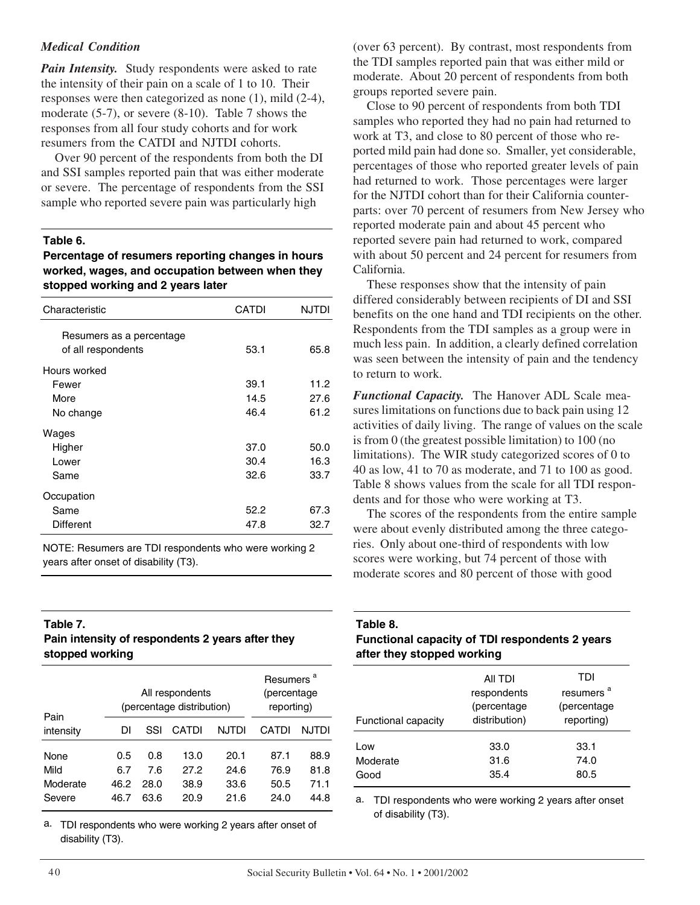### *Medical Condition*

*Pain Intensity.* Study respondents were asked to rate the intensity of their pain on a scale of 1 to 10. Their responses were then categorized as none (1), mild (2-4), moderate (5-7), or severe (8-10). Table 7 shows the responses from all four study cohorts and for work resumers from the CATDI and NJTDI cohorts.

Over 90 percent of the respondents from both the DI and SSI samples reported pain that was either moderate or severe. The percentage of respondents from the SSI sample who reported severe pain was particularly high

#### **Table 6.**

**Percentage of resumers reporting changes in hours worked, wages, and occupation between when they stopped working and 2 years later** 

| Characteristic           | CATDI | <b>NJTDI</b> |
|--------------------------|-------|--------------|
| Resumers as a percentage |       |              |
| of all respondents       | 53.1  | 65.8         |
| Hours worked             |       |              |
| Fewer                    | 39.1  | 11.2         |
| More                     | 14.5  | 27.6         |
| No change                | 46.4  | 61.2         |
| Wages                    |       |              |
| Higher                   | 37.0  | 50.0         |
| Lower                    | 30.4  | 16.3         |
| Same                     | 32.6  | 33.7         |
| Occupation               |       |              |
| Same                     | 52.2  | 67.3         |
| Different                | 47.8  | 32.7         |

NOTE: Resumers are TDI respondents who were working 2 years after onset of disability (T3).

#### **Table 7.**

# **Pain intensity of respondents 2 years after they stopped working**

| Pain                               |                            | All respondents<br>(percentage distribution) | Resumers <sup>a</sup><br>(percentage<br>reporting) |                              |                              |                              |
|------------------------------------|----------------------------|----------------------------------------------|----------------------------------------------------|------------------------------|------------------------------|------------------------------|
| intensity                          | DI                         | SSI                                          | CATDI                                              | NJTDI                        | CATDI                        | NJTDI                        |
| None<br>Mild<br>Moderate<br>Severe | 0.5<br>6.7<br>46.2<br>46.7 | 0.8<br>7.6<br>28.0<br>63.6                   | 13.0<br>27.2<br>38.9<br>20.9                       | 20.1<br>24.6<br>33.6<br>21.6 | 87.1<br>76.9<br>50.5<br>24.0 | 88.9<br>81.8<br>71.1<br>44.8 |

a. TDI respondents who were working 2 years after onset of disability (T3).

(over 63 percent). By contrast, most respondents from the TDI samples reported pain that was either mild or moderate. About 20 percent of respondents from both groups reported severe pain.

Close to 90 percent of respondents from both TDI samples who reported they had no pain had returned to work at T3, and close to 80 percent of those who reported mild pain had done so. Smaller, yet considerable, percentages of those who reported greater levels of pain had returned to work. Those percentages were larger for the NJTDI cohort than for their California counterparts: over 70 percent of resumers from New Jersey who reported moderate pain and about 45 percent who reported severe pain had returned to work, compared with about 50 percent and 24 percent for resumers from California.

These responses show that the intensity of pain differed considerably between recipients of DI and SSI benefits on the one hand and TDI recipients on the other. Respondents from the TDI samples as a group were in much less pain. In addition, a clearly defined correlation was seen between the intensity of pain and the tendency to return to work.

*Functional Capacity.* The Hanover ADL Scale measures limitations on functions due to back pain using 12 activities of daily living. The range of values on the scale is from 0 (the greatest possible limitation) to 100 (no limitations). The WIR study categorized scores of 0 to 40 as low, 41 to 70 as moderate, and 71 to 100 as good. Table 8 shows values from the scale for all TDI respondents and for those who were working at T3.

The scores of the respondents from the entire sample were about evenly distributed among the three categories. Only about one-third of respondents with low scores were working, but 74 percent of those with moderate scores and 80 percent of those with good

**Table 8.** 

# **Functional capacity of TDI respondents 2 years after they stopped working**

| <b>Functional capacity</b> | All TDI<br>respondents<br>(percentage<br>distribution) | TDI<br>resumers <sup>"</sup><br>(percentage)<br>reporting) |
|----------------------------|--------------------------------------------------------|------------------------------------------------------------|
| Low                        | 33.0                                                   | 33.1                                                       |
| Moderate                   | 31.6                                                   | 74.0                                                       |
| Good                       | 35.4                                                   | 80.5                                                       |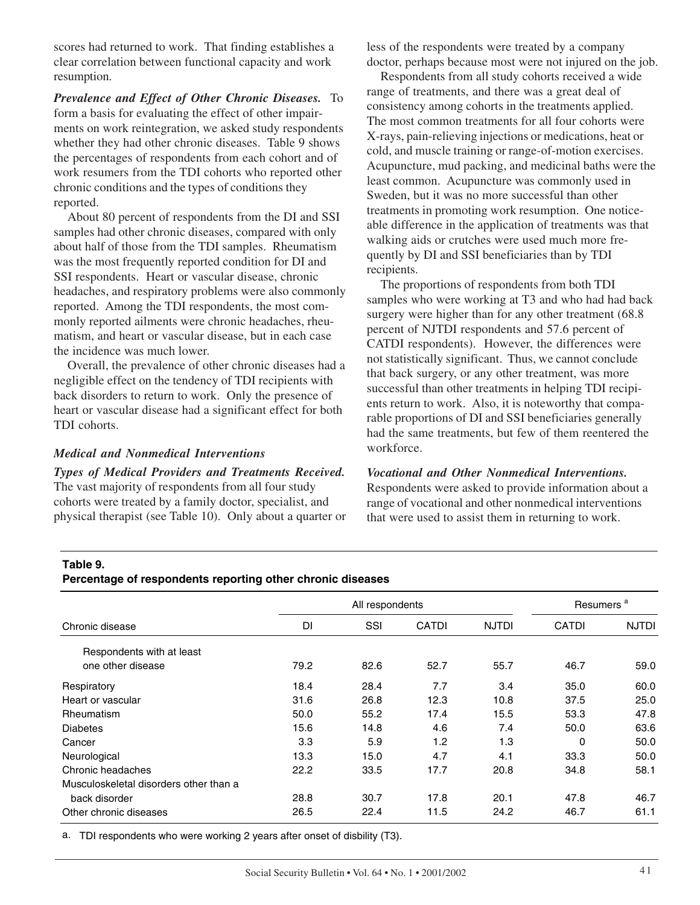scores had returned to work. That finding establishes a clear correlation between functional capacity and work resumption.

*Prevalence and Effect of Other Chronic Diseases.* To form a basis for evaluating the effect of other impairments on work reintegration, we asked study respondents whether they had other chronic diseases. Table 9 shows the percentages of respondents from each cohort and of work resumers from the TDI cohorts who reported other chronic conditions and the types of conditions they reported.

About 80 percent of respondents from the DI and SSI samples had other chronic diseases, compared with only about half of those from the TDI samples. Rheumatism was the most frequently reported condition for DI and SSI respondents. Heart or vascular disease, chronic headaches, and respiratory problems were also commonly reported. Among the TDI respondents, the most commonly reported ailments were chronic headaches, rheumatism, and heart or vascular disease, but in each case the incidence was much lower.

Overall, the prevalence of other chronic diseases had a negligible effect on the tendency of TDI recipients with back disorders to return to work. Only the presence of heart or vascular disease had a significant effect for both TDI cohorts.

#### *Medical and Nonmedical Interventions*

*Types of Medical Providers and Treatments Received.* The vast majority of respondents from all four study cohorts were treated by a family doctor, specialist, and physical therapist (see Table 10). Only about a quarter or less of the respondents were treated by a company doctor, perhaps because most were not injured on the job.

Respondents from all study cohorts received a wide range of treatments, and there was a great deal of consistency among cohorts in the treatments applied. The most common treatments for all four cohorts were X-rays, pain-relieving injections or medications, heat or cold, and muscle training or range-of-motion exercises. Acupuncture, mud packing, and medicinal baths were the least common. Acupuncture was commonly used in Sweden, but it was no more successful than other treatments in promoting work resumption. One noticeable difference in the application of treatments was that walking aids or crutches were used much more frequently by DI and SSI beneficiaries than by TDI recipients.

The proportions of respondents from both TDI samples who were working at T3 and who had had back surgery were higher than for any other treatment  $(68.8)$ percent of NJTDI respondents and 57.6 percent of CATDI respondents). However, the differences were not statistically significant. Thus, we cannot conclude that back surgery, or any other treatment, was more successful than other treatments in helping TDI recipients return to work. Also, it is noteworthy that comparable proportions of DI and SSI beneficiaries generally had the same treatments, but few of them reentered the workforce.

#### *Vocational and Other Nonmedical Interventions.*

Respondents were asked to provide information about a range of vocational and other nonmedical interventions that were used to assist them in returning to work.

#### **Table 9.**

#### **Percentage of respondents reporting other chronic diseases**

|                                        | All respondents |      |              |              | Resumers <sup>a</sup> |              |
|----------------------------------------|-----------------|------|--------------|--------------|-----------------------|--------------|
| Chronic disease                        | DI              | SSI  | <b>CATDI</b> | <b>NJTDI</b> | <b>CATDI</b>          | <b>NJTDI</b> |
| Respondents with at least              |                 |      |              |              |                       |              |
| one other disease                      | 79.2            | 82.6 | 52.7         | 55.7         | 46.7                  | 59.0         |
| Respiratory                            | 18.4            | 28.4 | 7.7          | 3.4          | 35.0                  | 60.0         |
| Heart or vascular                      | 31.6            | 26.8 | 12.3         | 10.8         | 37.5                  | 25.0         |
| <b>Rheumatism</b>                      | 50.0            | 55.2 | 17.4         | 15.5         | 53.3                  | 47.8         |
| <b>Diabetes</b>                        | 15.6            | 14.8 | 4.6          | 7.4          | 50.0                  | 63.6         |
| Cancer                                 | 3.3             | 5.9  | 1.2          | 1.3          | 0                     | 50.0         |
| Neurological                           | 13.3            | 15.0 | 4.7          | 4.1          | 33.3                  | 50.0         |
| Chronic headaches                      | 22.2            | 33.5 | 17.7         | 20.8         | 34.8                  | 58.1         |
| Musculoskeletal disorders other than a |                 |      |              |              |                       |              |
| back disorder                          | 28.8            | 30.7 | 17.8         | 20.1         | 47.8                  | 46.7         |
| Other chronic diseases                 | 26.5            | 22.4 | 11.5         | 24.2         | 46.7                  | 61.1         |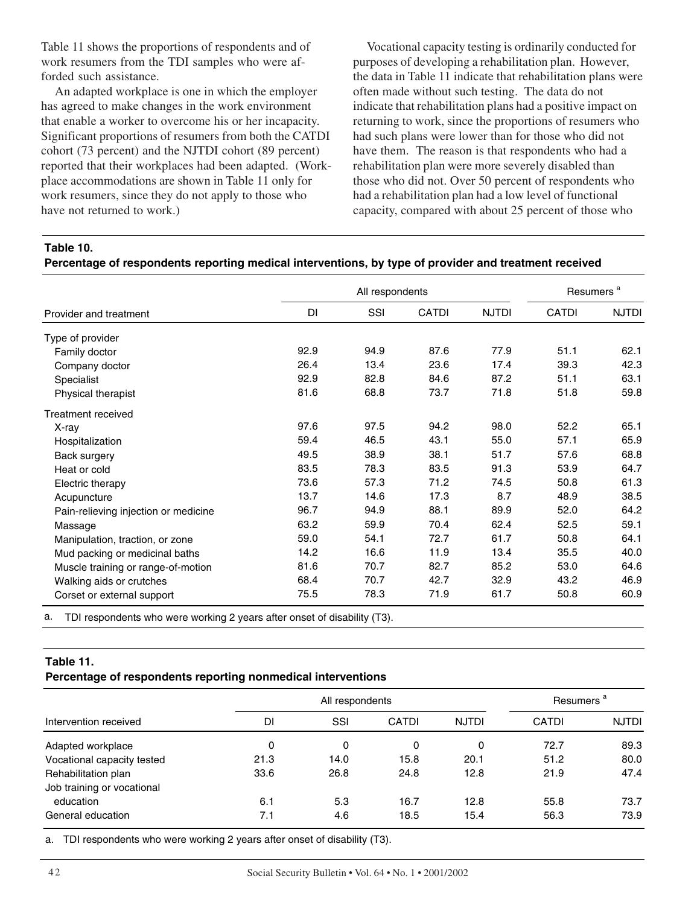Table 11 shows the proportions of respondents and of work resumers from the TDI samples who were afforded such assistance.

An adapted workplace is one in which the employer has agreed to make changes in the work environment that enable a worker to overcome his or her incapacity. Significant proportions of resumers from both the CATDI cohort (73 percent) and the NJTDI cohort (89 percent) reported that their workplaces had been adapted. (Workplace accommodations are shown in Table 11 only for work resumers, since they do not apply to those who have not returned to work.)

Vocational capacity testing is ordinarily conducted for purposes of developing a rehabilitation plan. However, the data in Table 11 indicate that rehabilitation plans were often made without such testing. The data do not indicate that rehabilitation plans had a positive impact on returning to work, since the proportions of resumers who had such plans were lower than for those who did not have them. The reason is that respondents who had a rehabilitation plan were more severely disabled than those who did not. Over 50 percent of respondents who had a rehabilitation plan had a low level of functional capacity, compared with about 25 percent of those who

**Table 10.** 

|  | Percentage of respondents reporting medical interventions, by type of provider and treatment received |
|--|-------------------------------------------------------------------------------------------------------|
|  |                                                                                                       |

|                                      |      | Resumers <sup>a</sup> |       |              |              |              |
|--------------------------------------|------|-----------------------|-------|--------------|--------------|--------------|
| Provider and treatment               | DI   | SSI                   | CATDI | <b>NJTDI</b> | <b>CATDI</b> | <b>NJTDI</b> |
| Type of provider                     |      |                       |       |              |              |              |
| Family doctor                        | 92.9 | 94.9                  | 87.6  | 77.9         | 51.1         | 62.1         |
| Company doctor                       | 26.4 | 13.4                  | 23.6  | 17.4         | 39.3         | 42.3         |
| Specialist                           | 92.9 | 82.8                  | 84.6  | 87.2         | 51.1         | 63.1         |
| Physical therapist                   | 81.6 | 68.8                  | 73.7  | 71.8         | 51.8         | 59.8         |
| Treatment received                   |      |                       |       |              |              |              |
| X-ray                                | 97.6 | 97.5                  | 94.2  | 98.0         | 52.2         | 65.1         |
| Hospitalization                      | 59.4 | 46.5                  | 43.1  | 55.0         | 57.1         | 65.9         |
| Back surgery                         | 49.5 | 38.9                  | 38.1  | 51.7         | 57.6         | 68.8         |
| Heat or cold                         | 83.5 | 78.3                  | 83.5  | 91.3         | 53.9         | 64.7         |
| Electric therapy                     | 73.6 | 57.3                  | 71.2  | 74.5         | 50.8         | 61.3         |
| Acupuncture                          | 13.7 | 14.6                  | 17.3  | 8.7          | 48.9         | 38.5         |
| Pain-relieving injection or medicine | 96.7 | 94.9                  | 88.1  | 89.9         | 52.0         | 64.2         |
| Massage                              | 63.2 | 59.9                  | 70.4  | 62.4         | 52.5         | 59.1         |
| Manipulation, traction, or zone      | 59.0 | 54.1                  | 72.7  | 61.7         | 50.8         | 64.1         |
| Mud packing or medicinal baths       | 14.2 | 16.6                  | 11.9  | 13.4         | 35.5         | 40.0         |
| Muscle training or range-of-motion   | 81.6 | 70.7                  | 82.7  | 85.2         | 53.0         | 64.6         |
| Walking aids or crutches             | 68.4 | 70.7                  | 42.7  | 32.9         | 43.2         | 46.9         |
| Corset or external support           | 75.5 | 78.3                  | 71.9  | 61.7         | 50.8         | 60.9         |

TDI respondents who were working 2 years after onset of disability (T3).

#### **Table 11.**

# **Percentage of respondents reporting nonmedical interventions**

|                            |      | All respondents |              |              |              | Resumers <sup>a</sup> |  |
|----------------------------|------|-----------------|--------------|--------------|--------------|-----------------------|--|
| Intervention received      | DI   | SSI             | <b>CATDI</b> | <b>NJTDI</b> | <b>CATDI</b> | <b>NJTDI</b>          |  |
| Adapted workplace          | 0    | 0               | 0            | 0            | 72.7         | 89.3                  |  |
| Vocational capacity tested | 21.3 | 14.0            | 15.8         | 20.1         | 51.2         | 80.0                  |  |
| Rehabilitation plan        | 33.6 | 26.8            | 24.8         | 12.8         | 21.9         | 47.4                  |  |
| Job training or vocational |      |                 |              |              |              |                       |  |
| education                  | 6.1  | 5.3             | 16.7         | 12.8         | 55.8         | 73.7                  |  |
| General education          | 7.1  | 4.6             | 18.5         | 15.4         | 56.3         | 73.9                  |  |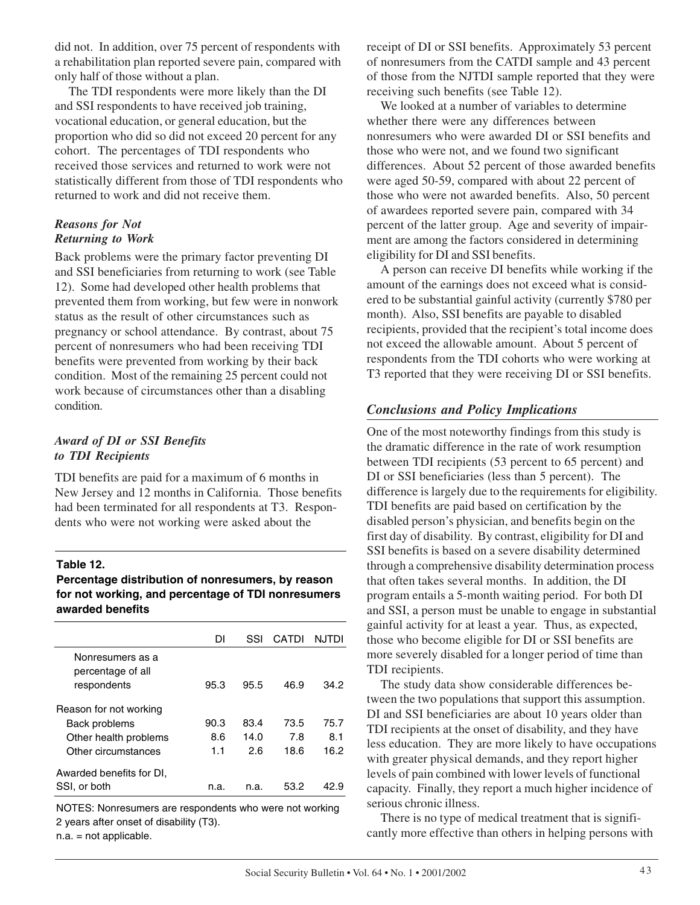did not. In addition, over 75 percent of respondents with a rehabilitation plan reported severe pain, compared with only half of those without a plan.

The TDI respondents were more likely than the DI and SSI respondents to have received job training, vocational education, or general education, but the proportion who did so did not exceed 20 percent for any cohort. The percentages of TDI respondents who received those services and returned to work were not statistically different from those of TDI respondents who returned to work and did not receive them.

# *Reasons for Not Returning to Work*

Back problems were the primary factor preventing DI and SSI beneficiaries from returning to work (see Table 12). Some had developed other health problems that prevented them from working, but few were in nonwork status as the result of other circumstances such as pregnancy or school attendance. By contrast, about 75 percent of nonresumers who had been receiving TDI benefits were prevented from working by their back condition. Most of the remaining 25 percent could not work because of circumstances other than a disabling condition.

# *Award of DI or SSI Benefits to TDI Recipients*

TDI benefits are paid for a maximum of 6 months in New Jersey and 12 months in California. Those benefits had been terminated for all respondents at T3. Respondents who were not working were asked about the

### **Table 12.**

**Percentage distribution of nonresumers, by reason for not working, and percentage of TDI nonresumers awarded benefits** 

|                                                      | DΙ   | SSI  | CATDI | NJTDI |
|------------------------------------------------------|------|------|-------|-------|
| Nonresumers as a<br>percentage of all<br>respondents | 95.3 | 95.5 | 46.9  | 34.2  |
| Reason for not working                               |      |      |       |       |
| Back problems                                        | 90.3 | 83.4 | 73.5  | 75.7  |
| Other health problems                                | 8.6  | 14.0 | 7.8   | 8.1   |
| Other circumstances                                  | 1.1  | 2.6  | 18.6  | 16.2  |
| Awarded benefits for DI,<br>SSI, or both             | n.a. | n.a. | 53.2  | 42.9  |
|                                                      |      |      |       |       |

NOTES: Nonresumers are respondents who were not working 2 years after onset of disability (T3).

n.a. = not applicable.

receipt of DI or SSI benefits. Approximately 53 percent of nonresumers from the CATDI sample and 43 percent of those from the NJTDI sample reported that they were receiving such benefits (see Table 12).

We looked at a number of variables to determine whether there were any differences between nonresumers who were awarded DI or SSI benefits and those who were not, and we found two significant differences. About 52 percent of those awarded benefits were aged 50-59, compared with about 22 percent of those who were not awarded benefits. Also, 50 percent of awardees reported severe pain, compared with 34 percent of the latter group. Age and severity of impairment are among the factors considered in determining eligibility for DI and SSI benefits.

A person can receive DI benefits while working if the amount of the earnings does not exceed what is considered to be substantial gainful activity (currently \$780 per month). Also, SSI benefits are payable to disabled recipients, provided that the recipient's total income does not exceed the allowable amount. About 5 percent of respondents from the TDI cohorts who were working at T3 reported that they were receiving DI or SSI benefits.

# *Conclusions and Policy Implications*

One of the most noteworthy findings from this study is the dramatic difference in the rate of work resumption between TDI recipients (53 percent to 65 percent) and DI or SSI beneficiaries (less than 5 percent). The difference is largely due to the requirements for eligibility. TDI benefits are paid based on certification by the disabled person's physician, and benefits begin on the first day of disability. By contrast, eligibility for DI and SSI benefits is based on a severe disability determined through a comprehensive disability determination process that often takes several months. In addition, the DI program entails a 5-month waiting period. For both DI and SSI, a person must be unable to engage in substantial gainful activity for at least a year. Thus, as expected, those who become eligible for DI or SSI benefits are more severely disabled for a longer period of time than TDI recipients.

The study data show considerable differences between the two populations that support this assumption. DI and SSI beneficiaries are about 10 years older than TDI recipients at the onset of disability, and they have less education. They are more likely to have occupations with greater physical demands, and they report higher levels of pain combined with lower levels of functional capacity. Finally, they report a much higher incidence of serious chronic illness.

There is no type of medical treatment that is significantly more effective than others in helping persons with